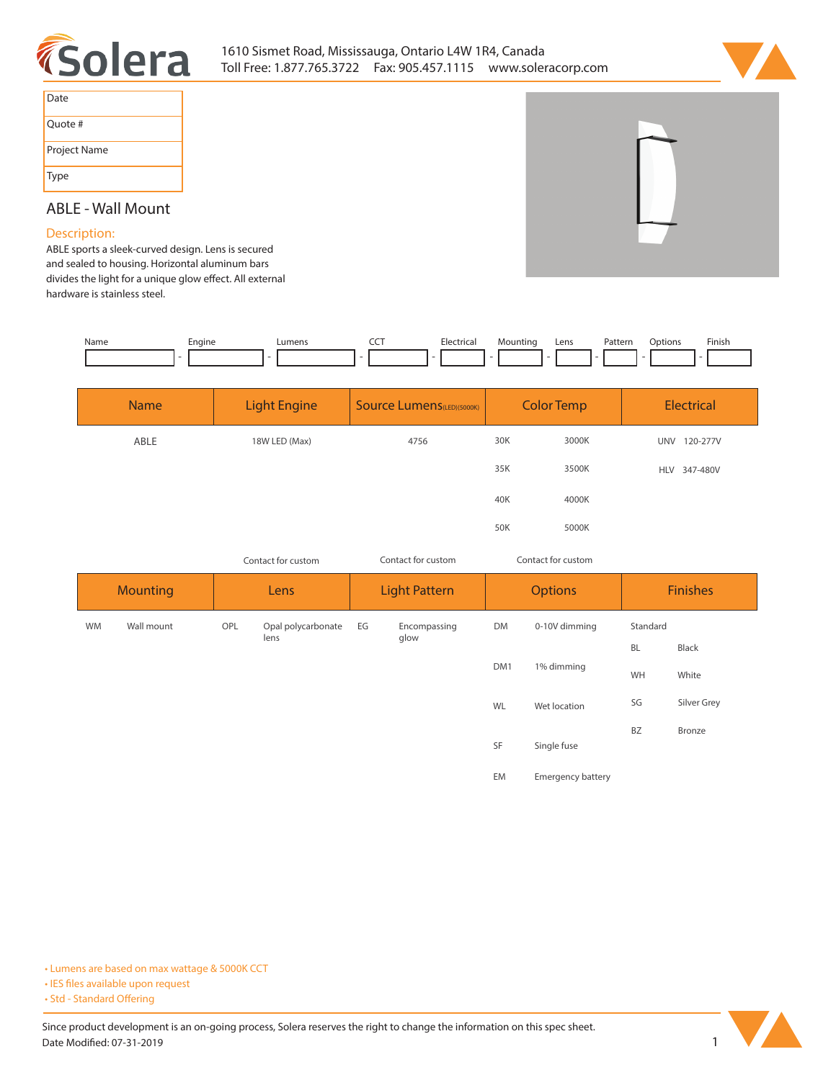



| Date         |
|--------------|
| Quote #      |
| Project Name |
| Type         |

# **ABLE - Wall Mount**

### **Description:**

**ABLE sports a sleek-curved design. Lens is secured and sealed to housing. Horizontal aluminum bars**  divides the light for a unique glow effect. All external **hardware is stainless steel.**

| Name | Engine | Lumens | --- | ctrica. | Mountinc<br>- | ∟ens | Pattern<br>. | otion:<br>)n | Finish. |
|------|--------|--------|-----|---------|---------------|------|--------------|--------------|---------|
|      |        |        |     |         |               |      |              |              |         |

| <b>Name</b> | <b>Light Engine</b> | <b>Source Lumens (LED)(5000K)</b> | <b>Color Temp</b> |       | Electrical             |
|-------------|---------------------|-----------------------------------|-------------------|-------|------------------------|
| ABLE        | 18W LED (Max)       | 4756                              | 30K               | 3000K | <b>UNV</b><br>120-277V |
|             |                     |                                   | 35K               | 3500K | HLV 347-480V           |
|             |                     |                                   | 40K               | 4000K |                        |
|             |                     |                                   | 50K               | 5000K |                        |

*Contact for custom*

*Contact for custom Contact for custom*

| <b>Mounting</b> |            | Lens |                    | <b>Light Pattern</b> |              | <b>Options</b> |                          | <b>Finishes</b> |             |
|-----------------|------------|------|--------------------|----------------------|--------------|----------------|--------------------------|-----------------|-------------|
| <b>WM</b>       | Wall mount | OPL  | Opal polycarbonate | EG                   | Encompassing | <b>DM</b>      | 0-10V dimming            | Standard        |             |
|                 |            |      | lens               |                      | glow         |                |                          | <b>BL</b>       | Black       |
|                 |            |      |                    |                      |              | DM1            | 1% dimming               |                 | White       |
|                 |            |      |                    |                      |              | WL             | Wet location             | SG              | Silver Grey |
|                 |            |      | SF<br>Single fuse  |                      |              | <b>BZ</b>      | Bronze                   |                 |             |
|                 |            |      |                    |                      |              | EM             | <b>Emergency battery</b> |                 |             |

**• Lumens are based on max wattage & 5000K CCT**

**• IES files available upon request** 

• Std - Standard Offering

Since product development is an on-going process, Solera reserves the right to change the information on this spec sheet. **Date Modified: 07-31-2019** 1